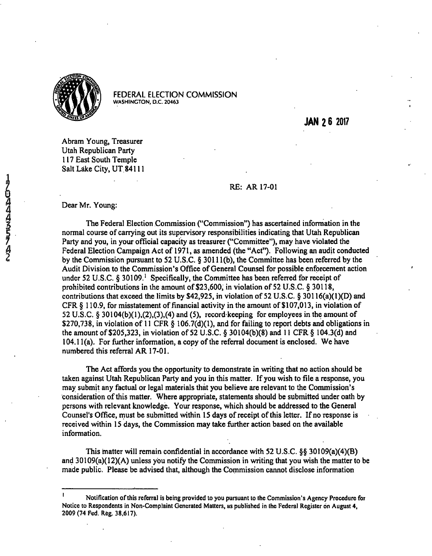

FEDERAL ELECTION COMMISSION **WASHINGTON, D.C. 20463** 

**JAN 2 6 2017** 

Abram Young, Treasurer Utah Republican Party 117 East South Temple Salt Lake City. UT 84111

## RE: AR 17-01

Dear Mr. Young:

The Federal Election Commission ("Commission") has ascertained information in the normal course of carrying out its supervisory responsibilities indicating that Utah Republican Party and you, in your official capacity as treasurer ("Committee"), may have violated the Federal Election Campaign Act of 1971, as amended (the "Act"). Following an audit conducted by the Commission pursuant to 32 U.S.C. § 30111(b), the Committee has been referred by the Audit Division to the Commission's Office of General Counsel for possible enforcement action under 52 U.S.C. § 30109.<sup>1</sup> Specifically, the Committee has been referred for receipt of prohibited contributions in the amount of \$23,600, in violation of 52 U.S.C. § 30118, contributions that exceed the limits by \$42,925, in violation of 52 U.S.C. § 30116(a)(1)(D) and CFR § 110.9, for misstatement of financial activity in the amount of \$107,013, in violation of 52 U.S.C. § 30104(b)(1),(2),(3),(4) and (5), record keeping for employees in the amount of \$270,738, in violation of 11 CFR § 106.7(d)(1), and for failing to report debts and obligations in the amount of \$205,323, in violation of 52 U.S.C. § 30104(b)(8) and 11 CFR § 104.3(d) and 104.11(a). For further information, a copy of the referral document is enclosed. We have numbered this referral AR 17-01.

The Act affords you the opportunity to demonstrate in writing that no action should be taken against Utah Republican Party and you in this matter. If you wish to file a response, you may submit any factual or legal materials that you believe are relevant to the Commission's consideration of this matter. Where appropriate, statements should be submitted under oath by persons with relevant knowledge. Your response, which should be addressed to the General Counsel's Office, must be submitted within 15 days of receipt of this letter. If no response is received within 15 days, the Commission may take further action based on the available information.

This matter will remain confidential in accordance with 52 U.S.C. §§ 30109(a)(4)(B) and 30109(a)(12)(A) unless you notify the Commission in writing that you wish the matter to be made public. Please be advised that, although the Commission cannot disclose information

Notification of this referral is being provided to you pursuant to the Commission's Agency Procedure for Notice to Respondents in Non-Complaint Generated Matters, as published in the Federal Register on August 4, 2009 (74 Fed. Reg. 38.617).